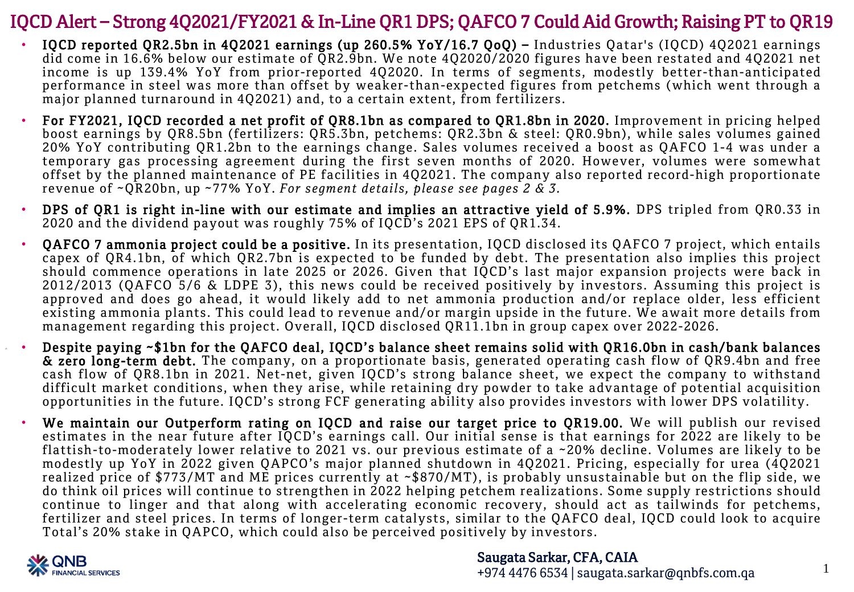### IQCD Alert – Strong 4Q2021/FY2021 & In-Line QR1 DPS; QAFCO 7 Could Aid Growth; Raising PT to QR19

- IQCD reported QR2.5bn in 4Q2021 earnings (up 260.5% YoY/16.7 QoQ) Industries Qatar's (IQCD) 4Q2021 earnings did come in 16.6% below our estimate of QR2.9bn. We note 4Q2020/2020 figures have been restated and 4Q2021 net income is up 139.4% YoY from prior-reported 4Q2020. In terms of segments, modestly better-than-anticipated performance in steel was more than offset by weaker-than-expected figures from petchems (which went through a major planned turnaround in 4Q2021) and, to a certain extent, from fertilizers.
- For FY2021, IQCD recorded a net profit of QR8.1bn as compared to QR1.8bn in 2020. Improvement in pricing helped boost earnings by QR8.5bn (fertilizers: QR5.3bn, petchems: QR2.3bn & steel: QR0.9bn), while sales volumes gained 20% YoY contributing QR1.2bn to the earnings change. Sales volumes received a boost as QAFCO 1-4 was under a temporary gas processing agreement during the first seven months of 2020. However, volumes were somewhat offset by the planned maintenance of PE facilities in 4Q2021. The company also reported record-high proportionate revenue of ~QR20bn, up ~77% YoY. *For segment details, please see pages 2 & 3.*
- DPS of QR1 is right in-line with our estimate and implies an attractive yield of 5.9%. DPS tripled from QR0.33 in 2020 and the dividend payout was roughly 75% of IQCD's 2021 EPS of QR1.34.
- QAFCO 7 ammonia project could be a positive. In its presentation, IQCD disclosed its QAFCO 7 project, which entails capex of QR4.1bn, of which QR2.7bn is expected to be funded by debt. The presentation also implies this project should commence operations in late 2025 or 2026. Given that IQCD's last major expansion projects were back in 2012/2013 (QAFCO 5/6 & LDPE 3), this news could be received positively by investors. Assuming this project is approved and does go ahead, it would likely add to net ammonia production and/or replace older, less efficient existing ammonia plants. This could lead to revenue and/or margin upside in the future. We await more details from management regarding this project. Overall, IQCD disclosed QR11.1bn in group capex over 2022-2026.
- Despite paying ~\$1bn for the QAFCO deal, IQCD's balance sheet remains solid with QR16.0bn in cash/bank balances & zero long-term debt. The company, on a proportionate basis, generated operating cash flow of QR9.4bn and free cash flow of QR8.1bn in 2021. Net-net, given IQCD's strong balance sheet, we expect the company to withstand difficult market conditions, when they arise, while retaining dry powder to take advantage of potential acquisition opportunities in the future. IQCD's strong FCF generating ability also provides investors with lower DPS volatility.
- We maintain our Outperform rating on IQCD and raise our target price to OR19.00. We will publish our revised estimates in the near future after IQCD's earnings call. Our initial sense is that earnings for 2022 are likely to be flattish-to-moderately lower relative to 2021 vs. our previous estimate of a ~20% decline. Volumes are likely to be modestly up YoY in 2022 given QAPCO's major planned shutdown in 4Q2021. Pricing, especially for urea (4Q2021 realized price of \$773/MT and ME prices currently at ~\$870/MT), is probably unsustainable but on the flip side, we do think oil prices will continue to strengthen in 2022 helping petchem realizations. Some supply restrictions should continue to linger and that along with accelerating economic recovery, should act as tailwinds for petchems, fertilizer and steel prices. In terms of longer-term catalysts, similar to the QAFCO deal, IQCD could look to acquire Total's 20% stake in QAPCO, which could also be perceived positively by investors.



1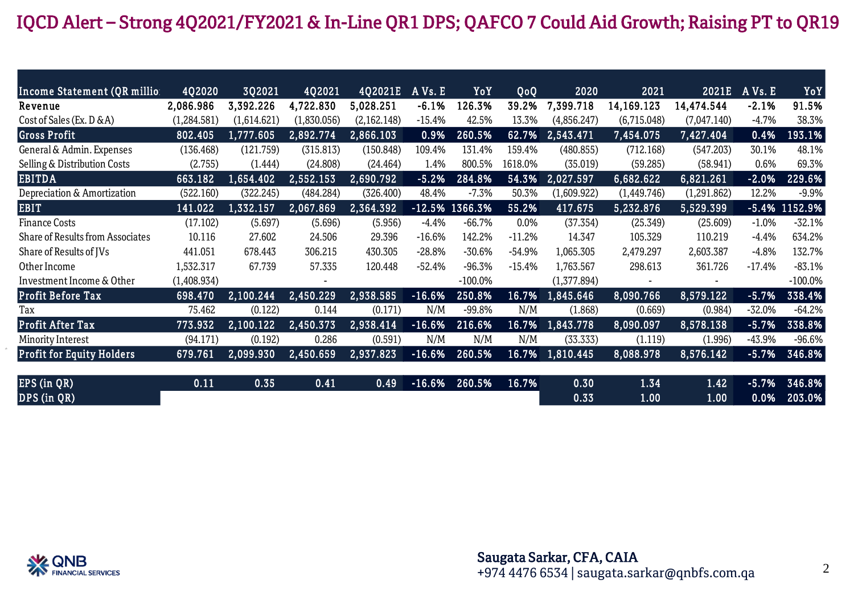# IQCD Alert – Strong 4Q2021/FY2021 & In-Line QR1 DPS; QAFCO 7 Could Aid Growth; Raising PT to QR19

| Income Statement (QR millio:            | 4Q2020               | 3Q2021      | 4Q2021      | 4Q2021E     | A Vs. E  | YoY               | QoQ      | 2020        | 2021        | 2021E       | A Vs. E  | YoY       |
|-----------------------------------------|----------------------|-------------|-------------|-------------|----------|-------------------|----------|-------------|-------------|-------------|----------|-----------|
| Revenue                                 | 2,086.986            | 3,392.226   | 4,722.830   | 5,028.251   | $-6.1%$  | 126.3%            | 39.2%    | 7,399.718   | 14,169.123  | 14,474.544  | $-2.1%$  | 91.5%     |
| Cost of Sales (Ex. D & A)               | (1,284.581)          | (1,614.621) | (1,830.056) | (2,162.148) | $-15.4%$ | 42.5%             | 13.3%    | (4,856.247) | (6,715.048) | (7,047.140) | $-4.7%$  | 38.3%     |
| <b>Gross Profit</b>                     | 802.405              | 1,777.605   | 2,892.774   | 2,866.103   | 0.9%     | 260.5%            | 62.7%    | 2,543.471   | 7,454.075   | 7,427.404   | 0.4%     | 193.1%    |
| General & Admin. Expenses               | (136.468)            | (121.759)   | (315.813)   | (150.848)   | 109.4%   | 131.4%            | 159.4%   | (480.855)   | (712.168)   | (547.203)   | 30.1%    | 48.1%     |
| Selling & Distribution Costs            | (2.755)              | (1.444)     | (24.808)    | (24.464)    | 1.4%     | 800.5%            | 1618.0%  | (35.019)    | (59.285)    | (58.941)    | 0.6%     | 69.3%     |
| <b>EBITDA</b>                           | 663.182              | 1,654.402   | 2,552.153   | 2,690.792   | $-5.2%$  | 284.8%            | 54.3%    | 2,027.597   | 6,682.622   | 6,821.261   | $-2.0%$  | 229.6%    |
| Depreciation & Amortization             | (522.160)            | (322.245)   | (484.284)   | (326.400)   | 48.4%    | $-7.3%$           | 50.3%    | (1,609.922) | (1,449.746) | (1,291.862) | 12.2%    | $-9.9%$   |
| <b>EBIT</b>                             | 141.022              | 1,332.157   | 2,067.869   | 2,364.392   |          | $-12.5\%$ 1366.3% | 55.2%    | 417.675     | 5,232.876   | 5,529.399   | $-5.4%$  | 1152.9%   |
| <b>Finance Costs</b>                    | (17.102)             | (5.697)     | (5.696)     | (5.956)     | $-4.4%$  | $-66.7%$          | $0.0\%$  | (37.354)    | (25.349)    | (25.609)    | $-1.0%$  | $-32.1%$  |
| <b>Share of Results from Associates</b> | 10.116               | 27.602      | 24.506      | 29.396      | $-16.6%$ | 142.2%            | $-11.2%$ | 14.347      | 105.329     | 110.219     | $-4.4%$  | 634.2%    |
| Share of Results of JVs                 | 441.051              | 678.443     | 306.215     | 430.305     | $-28.8%$ | $-30.6%$          | $-54.9%$ | 1,065.305   | 2,479.297   | 2,603.387   | $-4.8%$  | 132.7%    |
| Other Income                            | 1,532.317            | 67.739      | 57.335      | 120.448     | $-52.4%$ | $-96.3%$          | $-15.4%$ | 1,763.567   | 298.613     | 361.726     | $-17.4%$ | $-83.1%$  |
| Investment Income & Other               | (1,408.934)          |             |             |             |          | $-100.0%$         |          | (1,377.894) |             |             |          | $-100.0%$ |
| <b>Profit Before Tax</b>                | 698.470              | 2,100.244   | 2,450.229   | 2,938.585   | $-16.6%$ | 250.8%            | 16.7%    | 1,845.646   | 8,090.766   | 8,579.122   | $-5.7%$  | 338.4%    |
| Tax                                     | 75.462               | (0.122)     | 0.144       | (0.171)     | N/M      | -99.8%            | N/M      | (1.868)     | (0.669)     | (0.984)     | $-32.0%$ | $-64.2%$  |
| <b>Profit After Tax</b>                 | 773.932              | 2,100.122   | 2,450.373   | 2,938.414   | $-16.6%$ | 216.6%            | $16.7\%$ | 1,843.778   | 8,090.097   | 8,578.138   | $-5.7%$  | 338.8%    |
| Minority Interest                       | (94.171)             | (0.192)     | 0.286       | (0.591)     | N/M      | N/M               | N/M      | (33.333)    | (1.119)     | (1.996)     | $-43.9%$ | $-96.6%$  |
| <b>Profit for Equity Holders</b>        | $\overline{679.761}$ | 2,099.930   | 2,450.659   | 2,937.823   | $-16.6%$ | 260.5%            | 16.7%    | 1,810.445   | 8,088.978   | 8,576.142   | $-5.7%$  | 346.8%    |
|                                         |                      |             |             |             |          |                   |          |             |             |             |          |           |
| $EPS$ (in $QR$ )                        | 0.11                 | 0.35        | 0.41        | 0.49        | $-16.6%$ | 260.5%            | 16.7%    | 0.30        | 1.34        | 1.42        | $-5.7%$  | 346.8%    |
| DPS (in QR)                             |                      |             |             |             |          |                   |          | 0.33        | 1.00        | 1.00        | 0.0%     | 203.0%    |

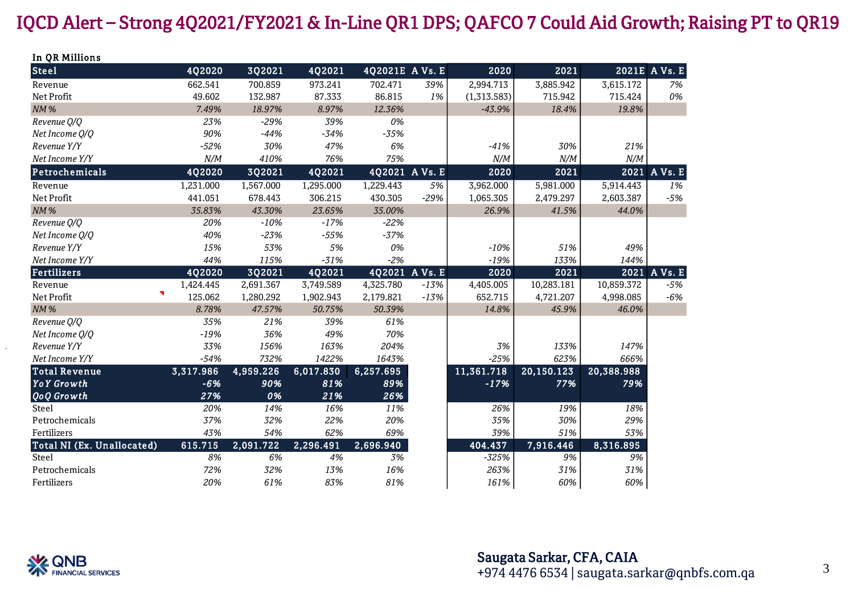## IQCD Alert – Strong 4Q2021/FY2021 & In-Line QR1 DPS; QAFCO 7 Could Aid Growth; Raising PT to QR19

| In QR Millions             |           |           |           |                 |        |             |            |            |               |
|----------------------------|-----------|-----------|-----------|-----------------|--------|-------------|------------|------------|---------------|
| <b>Steel</b>               | 4Q2020    | 3Q2021    | 4Q2021    | 4Q2021E A Vs. E |        | 2020        | 2021       |            | 2021E A Vs. E |
| Revenue                    | 662.541   | 700.859   | 973.241   | 702.471         | 39%    | 2,994.713   | 3,885.942  | 3,615.172  | 7%            |
| Net Profit                 | 49.602    | 132.987   | 87.333    | 86.815          | 1%     | (1,313.583) | 715.942    | 715.424    | 0%            |
| $NM$ %                     | 7.49%     | 18.97%    | 8.97%     | 12.36%          |        | $-43.9%$    | 18.4%      | 19.8%      |               |
| Revenue O/O                | 23%       | $-29%$    | 39%       | 0%              |        |             |            |            |               |
| Net Income Q/Q             | 90%       | $-44%$    | $-34%$    | $-35%$          |        |             |            |            |               |
| Revenue Y/Y                | $-52%$    | 30%       | 47%       | 6%              |        | $-41%$      | 30%        | 21%        |               |
| Net Income Y/Y             | N/M       | 410%      | 76%       | 75%             |        | $N/M$       | N/M        | N/M        |               |
| Petrochemicals             | 4Q2020    | 3Q2021    | 4Q2021    | 4Q2021 AVs. E   |        | 2020        | 2021       |            | 2021 A Vs. E  |
| Revenue                    | 1,231.000 | 1,567.000 | 1,295.000 | 1,229.443       | 5%     | 3,962.000   | 5,981.000  | 5,914.443  | 1%            |
| Net Profit                 | 441.051   | 678.443   | 306.215   | 430.305         | $-29%$ | 1,065.305   | 2,479.297  | 2,603.387  | $-5%$         |
| NM%                        | 35.83%    | 43.30%    | 23.65%    | 35.00%          |        | 26.9%       | 41.5%      | 44.0%      |               |
| Revenue Q/Q                | 20%       | $-10%$    | $-17%$    | $-22%$          |        |             |            |            |               |
| Net Income O/O             | 40%       | $-23%$    | $-55%$    | $-37%$          |        |             |            |            |               |
| Revenue Y/Y                | 15%       | 53%       | 5%        | 0%              |        | $-10%$      | 51%        | 49%        |               |
| Net Income Y/Y             | 44%       | 115%      | $-31%$    | $-2%$           |        | $-19%$      | 133%       | 144%       |               |
| <b>Fertilizers</b>         | 4Q2020    | 3Q2021    | 4Q2021    | 4Q2021 A Vs. E  |        | 2020        | 2021       |            | 2021 A Vs. E  |
| Revenue                    | 1,424.445 | 2,691.367 | 3,749.589 | 4,325.780       | $-13%$ | 4,405.005   | 10,283.181 | 10,859.372 | $-5%$         |
| ٦<br>Net Profit            | 125.062   | 1,280.292 | 1,902.943 | 2,179.821       | $-13%$ | 652.715     | 4,721.207  | 4,998.085  | $-6%$         |
| <b>NM%</b>                 | 8.78%     | 47.57%    | 50.75%    | 50.39%          |        | 14.8%       | 45.9%      | 46.0%      |               |
| Revenue Q/Q                | 35%       | 21%       | 39%       | 61%             |        |             |            |            |               |
| Net Income Q/Q             | $-19%$    | 36%       | 49%       | 70%             |        |             |            |            |               |
| Revenue Y/Y                | 33%       | 156%      | 163%      | 204%            |        | 3%          | 133%       | 147%       |               |
| Net Income Y/Y             | $-54%$    | 732%      | 1422%     | 1643%           |        | $-25%$      | 623%       | 666%       |               |
| <b>Total Revenue</b>       | 3,317.986 | 4,959.226 | 6,017.830 | 6,257.695       |        | 11,361.718  | 20,150.123 | 20,388.988 |               |
| <b>YoY</b> Growth          | $-6%$     | 90%       | 81%       | 89%             |        | $-17%$      | 77%        | 79%        |               |
| <b>QoQ</b> Growth          | 27%       | 0%        | 21%       | 26%             |        |             |            |            |               |
| <b>Steel</b>               | 20%       | 14%       | 16%       | 11%             |        | 26%         | 19%        | 18%        |               |
| Petrochemicals             | 37%       | 32%       | 22%       | 20%             |        | 35%         | 30%        | 29%        |               |
| Fertilizers                | 43%       | 54%       | 62%       | 69%             |        | 39%         | 51%        | 53%        |               |
| Total NI (Ex. Unallocated) | 615.715   | 2,091.722 | 2,296.491 | 2,696.940       |        | 404.437     | 7,916.446  | 8,316.895  |               |
| <b>Steel</b>               | 8%        | 6%        | 4%        | 3%              |        | $-325%$     | 9%         | 9%         |               |
| Petrochemicals             | 72%       | 32%       | 13%       | 16%             |        | 263%        | 31%        | 31%        |               |
| Fertilizers                | 20%       | 61%       | 83%       | 81%             |        | 161%        | 60%        | 60%        |               |